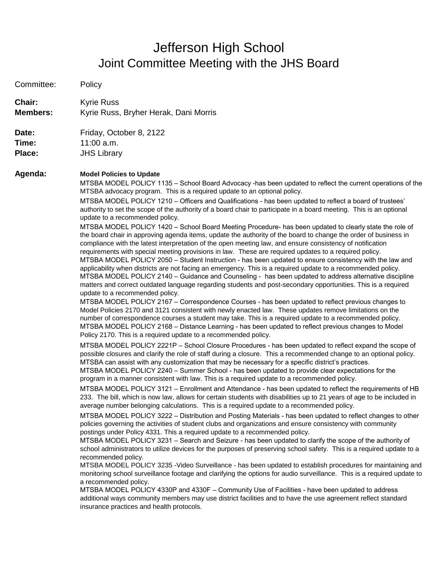## Jefferson High School Joint Committee Meeting with the JHS Board

| Committee:      | Policy                                                                                                                                                                                                                                                                                                                                                                                                                                                                                                                                                                                                                                                                                                                                                                                                                                                                                                                                                                                                                                                                                                                                                                                                                                                                                                                                                                                                                                                                                                                                                                                                                                                                                                                                                                                                                                                                                                                                                                                                                                                                                                                                                                                                                                                                                                                                                                                                                                                                                                                                                                                                                                                                                                                                                                                                                                                                                                                                                                                                                                                                                                                                                                                                                                                                                                                                                                                                                                                                                                                                                                                                                                                                                                                                                                                                                                                                                                                                  |
|-----------------|-----------------------------------------------------------------------------------------------------------------------------------------------------------------------------------------------------------------------------------------------------------------------------------------------------------------------------------------------------------------------------------------------------------------------------------------------------------------------------------------------------------------------------------------------------------------------------------------------------------------------------------------------------------------------------------------------------------------------------------------------------------------------------------------------------------------------------------------------------------------------------------------------------------------------------------------------------------------------------------------------------------------------------------------------------------------------------------------------------------------------------------------------------------------------------------------------------------------------------------------------------------------------------------------------------------------------------------------------------------------------------------------------------------------------------------------------------------------------------------------------------------------------------------------------------------------------------------------------------------------------------------------------------------------------------------------------------------------------------------------------------------------------------------------------------------------------------------------------------------------------------------------------------------------------------------------------------------------------------------------------------------------------------------------------------------------------------------------------------------------------------------------------------------------------------------------------------------------------------------------------------------------------------------------------------------------------------------------------------------------------------------------------------------------------------------------------------------------------------------------------------------------------------------------------------------------------------------------------------------------------------------------------------------------------------------------------------------------------------------------------------------------------------------------------------------------------------------------------------------------------------------------------------------------------------------------------------------------------------------------------------------------------------------------------------------------------------------------------------------------------------------------------------------------------------------------------------------------------------------------------------------------------------------------------------------------------------------------------------------------------------------------------------------------------------------------------------------------------------------------------------------------------------------------------------------------------------------------------------------------------------------------------------------------------------------------------------------------------------------------------------------------------------------------------------------------------------------------------------------------------------------------------------------------------------------------|
| <b>Chair:</b>   | Kyrie Russ                                                                                                                                                                                                                                                                                                                                                                                                                                                                                                                                                                                                                                                                                                                                                                                                                                                                                                                                                                                                                                                                                                                                                                                                                                                                                                                                                                                                                                                                                                                                                                                                                                                                                                                                                                                                                                                                                                                                                                                                                                                                                                                                                                                                                                                                                                                                                                                                                                                                                                                                                                                                                                                                                                                                                                                                                                                                                                                                                                                                                                                                                                                                                                                                                                                                                                                                                                                                                                                                                                                                                                                                                                                                                                                                                                                                                                                                                                                              |
| <b>Members:</b> | Kyrie Russ, Bryher Herak, Dani Morris                                                                                                                                                                                                                                                                                                                                                                                                                                                                                                                                                                                                                                                                                                                                                                                                                                                                                                                                                                                                                                                                                                                                                                                                                                                                                                                                                                                                                                                                                                                                                                                                                                                                                                                                                                                                                                                                                                                                                                                                                                                                                                                                                                                                                                                                                                                                                                                                                                                                                                                                                                                                                                                                                                                                                                                                                                                                                                                                                                                                                                                                                                                                                                                                                                                                                                                                                                                                                                                                                                                                                                                                                                                                                                                                                                                                                                                                                                   |
| Date:           | Friday, October 8, 2122                                                                                                                                                                                                                                                                                                                                                                                                                                                                                                                                                                                                                                                                                                                                                                                                                                                                                                                                                                                                                                                                                                                                                                                                                                                                                                                                                                                                                                                                                                                                                                                                                                                                                                                                                                                                                                                                                                                                                                                                                                                                                                                                                                                                                                                                                                                                                                                                                                                                                                                                                                                                                                                                                                                                                                                                                                                                                                                                                                                                                                                                                                                                                                                                                                                                                                                                                                                                                                                                                                                                                                                                                                                                                                                                                                                                                                                                                                                 |
| Time:           | $11:00$ a.m.                                                                                                                                                                                                                                                                                                                                                                                                                                                                                                                                                                                                                                                                                                                                                                                                                                                                                                                                                                                                                                                                                                                                                                                                                                                                                                                                                                                                                                                                                                                                                                                                                                                                                                                                                                                                                                                                                                                                                                                                                                                                                                                                                                                                                                                                                                                                                                                                                                                                                                                                                                                                                                                                                                                                                                                                                                                                                                                                                                                                                                                                                                                                                                                                                                                                                                                                                                                                                                                                                                                                                                                                                                                                                                                                                                                                                                                                                                                            |
| Place:          | <b>JHS Library</b>                                                                                                                                                                                                                                                                                                                                                                                                                                                                                                                                                                                                                                                                                                                                                                                                                                                                                                                                                                                                                                                                                                                                                                                                                                                                                                                                                                                                                                                                                                                                                                                                                                                                                                                                                                                                                                                                                                                                                                                                                                                                                                                                                                                                                                                                                                                                                                                                                                                                                                                                                                                                                                                                                                                                                                                                                                                                                                                                                                                                                                                                                                                                                                                                                                                                                                                                                                                                                                                                                                                                                                                                                                                                                                                                                                                                                                                                                                                      |
| Agenda:         | <b>Model Policies to Update</b><br>MTSBA MODEL POLICY 1135 - School Board Advocacy -has been updated to reflect the current operations of the<br>MTSBA advocacy program. This is a required update to an optional policy.<br>MTSBA MODEL POLICY 1210 - Officers and Qualifications - has been updated to reflect a board of trustees'<br>authority to set the scope of the authority of a board chair to participate in a board meeting. This is an optional<br>update to a recommended policy.<br>MTSBA MODEL POLICY 1420 - School Board Meeting Procedure- has been updated to clearly state the role of<br>the board chair in approving agenda items, update the authority of the board to change the order of business in<br>compliance with the latest interpretation of the open meeting law, and ensure consistency of notification<br>requirements with special meeting provisions in law. These are required updates to a required policy.<br>MTSBA MODEL POLICY 2050 - Student Instruction - has been updated to ensure consistency with the law and<br>applicability when districts are not facing an emergency. This is a required update to a recommended policy.<br>MTSBA MODEL POLICY 2140 - Guidance and Counseling - has been updated to address alternative discipline<br>matters and correct outdated language regarding students and post-secondary opportunities. This is a required<br>update to a recommended policy.<br>MTSBA MODEL POLICY 2167 - Correspondence Courses - has been updated to reflect previous changes to<br>Model Policies 2170 and 3121 consistent with newly enacted law. These updates remove limitations on the<br>number of correspondence courses a student may take. This is a required update to a recommended policy.<br>MTSBA MODEL POLICY 2168 - Distance Learning - has been updated to reflect previous changes to Model<br>Policy 2170. This is a required update to a recommended policy.<br>MTSBA MODEL POLICY 2221P - School Closure Procedures - has been updated to reflect expand the scope of<br>possible closures and clarify the role of staff during a closure. This a recommended change to an optional policy.<br>MTSBA can assist with any customization that may be necessary for a specific district's practices.<br>MTSBA MODEL POLICY 2240 - Summer School - has been updated to provide clear expectations for the<br>program in a manner consistent with law. This is a required update to a recommended policy.<br>MTSBA MODEL POLICY 3121 - Enrollment and Attendance - has been updated to reflect the requirements of HB<br>233. The bill, which is now law, allows for certain students with disabilities up to 21 years of age to be included in<br>average number belonging calculations. This is a required update to a recommended policy.<br>MTSBA MODEL POLICY 3222 – Distribution and Posting Materials - has been updated to reflect changes to other<br>policies governing the activities of student clubs and organizations and ensure consistency with community<br>postings under Policy 4331. This a required update to a recommended policy.<br>MTSBA MODEL POLICY 3231 - Search and Seizure - has been updated to clarify the scope of the authority of<br>school administrators to utilize devices for the purposes of preserving school safety. This is a required update to a<br>recommended policy.<br>MTSBA MODEL POLICY 3235 -Video Surveillance - has been updated to establish procedures for maintaining and<br>monitoring school surveillance footage and clarifying the options for audio surveillance. This is a required update to<br>a recommended policy.<br>MTSBA MODEL POLICY 4330P and 4330F - Community Use of Facilities - have been updated to address<br>additional ways community members may use district facilities and to have the use agreement reflect standard<br>insurance practices and health protocols. |